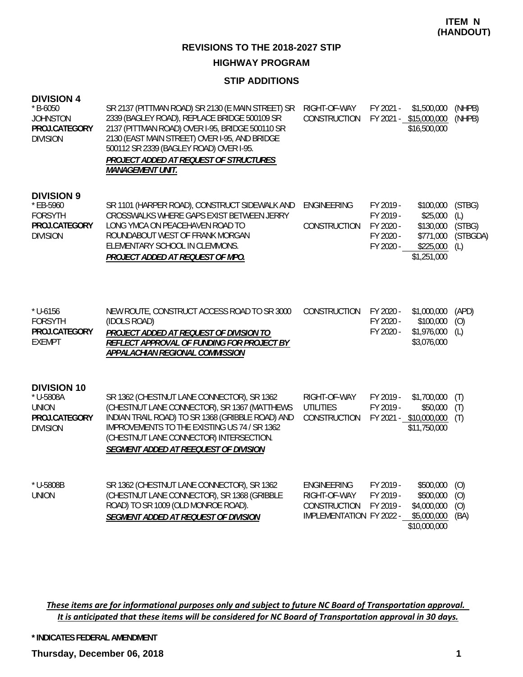# **HIGHWAY PROGRAM**

#### **STIP ADDITIONS**

| <b>DIVISION 4</b> |  |
|-------------------|--|
|-------------------|--|

| $*$ B-6050<br><b>JOHNSTON</b><br>PROJ.CATEGORY<br><b>DIVISION</b>                    | SR 2137 (PITTMAN ROAD) SR 2130 (E MAIN STREET) SR<br>2339 (BAGLEY ROAD), REPLACE BRIDGE 500109 SR<br>2137 (PITTMAN ROAD) OVER I-95, BRIDGE 500110 SR<br>2130 (EAST MAIN STREET) OVER I-95, AND BRIDGE<br>500112 SR 2339 (BAGLEY ROAD) OVER I-95.<br>PROJECT ADDED AT REQUEST OF STRUCTURES<br><b>MANAGEMENT UNIT.</b> | RIGHT-OF-WAY<br>CONSTRUCTION                                                   | FY 2021 -                                                     | \$1,500,000<br>FY 2021 - \$15,000,000<br>\$16,500,000                       | (NHPB)<br>(NHPB)                           |
|--------------------------------------------------------------------------------------|-----------------------------------------------------------------------------------------------------------------------------------------------------------------------------------------------------------------------------------------------------------------------------------------------------------------------|--------------------------------------------------------------------------------|---------------------------------------------------------------|-----------------------------------------------------------------------------|--------------------------------------------|
| <b>DIVISION 9</b><br>* EB-5960<br><b>FORSYTH</b><br>PROJ.CATEGORY<br><b>DIVISION</b> | SR 1101 (HARPER ROAD), CONSTRUCT SIDEWALK AND<br>CROSSWALKS WHERE GAPS EXIST BETWEEN JERRY<br>LONG YMCA ON PEACEHAVEN ROAD TO<br>ROUNDABOUT WEST OF FRANK MORGAN<br>ELEMENTARY SCHOOL IN CLEMMONS.<br>PROJECT ADDED AT REQUEST OF MPO.                                                                                | <b>ENGINEERING</b><br>CONSTRUCTION                                             | FY 2019 -<br>FY 2019 -<br>FY 2020 -<br>FY 2020 -<br>FY 2020 - | \$100,000<br>\$25,000<br>\$130,000<br>\$771,000<br>\$225,000<br>\$1,251,000 | (STBG)<br>(L)<br>(STBG)<br>(STBGDA)<br>(L) |
| $*$ U-6156<br><b>FORSYTH</b><br>PROJ.CATEGORY<br><b>EXEMPT</b>                       | NEW ROUTE, CONSTRUCT ACCESS ROAD TO SR 3000<br>(IDOLS ROAD)<br>PROJECT ADDED AT REQUEST OF DIVISION TO<br>REFLECT APPROVAL OF FUNDING FOR PROJECT BY<br>APPALACHIAN REGIONAL COMMISSION                                                                                                                               | CONSTRUCTION                                                                   | FY 2020 -<br>FY 2020 -<br>FY 2020 -                           | \$1,000,000<br>\$100,000<br>\$1,976,000<br>\$3,076,000                      | (APD)<br>(O)<br>(L)                        |
| <b>DIVISION 10</b><br>* U-5808A<br><b>UNION</b><br>PROJ.CATEGORY<br><b>DIVISION</b>  | SR 1362 (CHESTNUT LANE CONNECTOR), SR 1362<br>(CHESTNUT LANE CONNECTOR), SR 1367 (MATTHEWS<br>INDIAN TRAIL ROAD) TO SR 1368 (GRIBBLE ROAD) AND<br>IMPROVEMENTS TO THE EXISTING US 74 / SR 1362<br>(CHESTNUT LANE CONNECTOR) INTERSECTION.<br>SEGMENT ADDED AT REEQUEST OF DIVISION                                    | RIGHT-OF-WAY<br><b>UTILITIES</b><br>CONSTRUCTION                               | FY 2019 -<br>FY 2019 -                                        | \$1,700,000<br>\$50,000<br>FY 2021 - \$10,000,000<br>\$11,750,000           | (T)<br>(T)<br>(T)                          |
| * U-5808B<br><b>UNION</b>                                                            | SR 1362 (CHESTNUT LANE CONNECTOR), SR 1362<br>(CHESTNUT LANE CONNECTOR), SR 1368 (GRIBBLE<br>ROAD) TO SR 1009 (OLD MONROE ROAD).<br>SEGMENT ADDED AT REQUEST OF DIVISION                                                                                                                                              | <b>ENGINEERING</b><br>RIGHT-OF-WAY<br>CONSTRUCTION<br>IMPLEMENTATION FY 2022 - | FY 2019 -<br>FY 2019 -<br>FY 2019 -                           | \$500,000<br>\$500,000<br>\$4,000,000<br>\$5,000,000<br>\$10,000,000        | (O)<br>(0)<br>(O)<br>(BA)                  |

These items are for informational purposes only and subject to future NC Board of Transportation approval. It is anticipated that these items will be considered for NC Board of Transportation approval in 30 days.

**\* INDICATES FEDERAL AMENDMENT**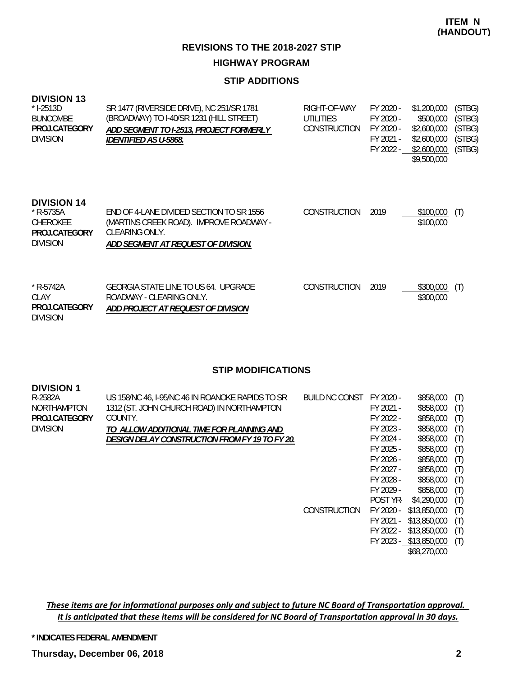#### **STIP ADDITIONS**

| <b>DIVISION 13</b><br>$*$ I-2513D<br><b>BUNCOMBE</b><br>PROJ.CATEGORY<br><b>DIVISION</b> | SR 1477 (RIVERSIDE DRIVE), NC 251/SR 1781<br>(BROADWAY) TO I-40/SR 1231 (HILL STREET)<br>ADD SEGMENT TO I-2513, PROJECT FORMERLY<br>IDENTIFIED AS U-5868. | RIGHT-OF-WAY<br>UTILITIES<br><b>CONSTRUCTION</b> | FY 2020 -<br>FY 2020 -<br>FY 2020 -<br>FY 2021 -<br>FY 2022 - | \$1,200,000<br>\$500,000<br>\$2,600,000<br>\$2,600,000<br>\$2,600,000<br>\$9,500,000 | (STBG)<br>(STBG)<br>(STBG)<br>(STBG)<br>(STBG) |
|------------------------------------------------------------------------------------------|-----------------------------------------------------------------------------------------------------------------------------------------------------------|--------------------------------------------------|---------------------------------------------------------------|--------------------------------------------------------------------------------------|------------------------------------------------|
| <b>DIVISION 14</b><br>$*$ R-5735A<br>CHEROKEE<br>PROJ.CATEGORY<br><b>DIVISION</b>        | END OF 4-LANE DIVIDED SECTION TO SR 1556<br>(MARTINS CREEK ROAD). IMPROVE ROADWAY -<br>CLEARING ONLY.<br>ADD SEGMENT AT REQUEST OF DIVISION.              | <b>CONSTRUCTION</b>                              | 2019                                                          | \$100,000<br>\$100,000                                                               | (T)                                            |
| $*$ R-5742A<br>CLAY<br>PROJ.CATEGORY                                                     | GEORGIA STATE LINE TO US 64. UPGRADE<br>ROADWAY - CLEARING ONLY.<br>ADD PROJECT AT REQUEST OF DIVISION                                                    | <b>CONSTRUCTION</b>                              | 2019                                                          | \$300,000<br>\$300,000                                                               | (T)                                            |

#### **STIP MODIFICATIONS**

| <b>DIVISION 1</b>  |                                                  |                |           |              |     |
|--------------------|--------------------------------------------------|----------------|-----------|--------------|-----|
| R-2582A            | US 158/NC 46, I-95/NC 46 IN ROANOKE RAPIDS TO SR | BUILD NC CONST | FY 2020 - | \$858,000    | (T) |
| <b>NORTHAMPTON</b> | 1312 (ST. JOHN CHURCH ROAD) IN NORTHAMPTON       |                | FY 2021 - | \$858,000    | (T) |
| PROJ.CATEGORY      | COUNTY.                                          |                | FY 2022 - | \$858,000    | (T) |
| <b>DIVISION</b>    | TO ALLOW ADDITIONAL TIME FOR PLANNING AND        |                | FY 2023 - | \$858,000    | (T) |
|                    | DESIGN DELAY CONSTRUCTION FROM FY 19 TO FY 20.   |                | FY 2024 - | \$858,000    | (T) |
|                    |                                                  |                | FY 2025 - | \$858,000    | (T) |
|                    |                                                  |                | FY 2026 - | \$858,000    | (T) |
|                    |                                                  |                | FY 2027 - | \$858,000    | (T) |
|                    |                                                  |                | FY 2028 - | \$858,000    | (T) |
|                    |                                                  |                | FY 2029 - | \$858,000    | (T) |
|                    |                                                  |                | POST YR-  | \$4,290,000  | (T) |
|                    |                                                  | CONSTRUCTION   | FY 2020 - | \$13,850,000 | (T) |
|                    |                                                  |                | FY 2021 - | \$13,850,000 | (T) |
|                    |                                                  |                | FY 2022 - | \$13,850,000 | (T) |
|                    |                                                  |                | FY 2023 - | \$13,850,000 | (T) |
|                    |                                                  |                |           | \$68,270,000 |     |
|                    |                                                  |                |           |              |     |

These items are for informational purposes only and subject to future NC Board of Transportation approval. It is anticipated that these items will be considered for NC Board of Transportation approval in 30 days.

**\* INDICATES FEDERAL AMENDMENT**

DIVISION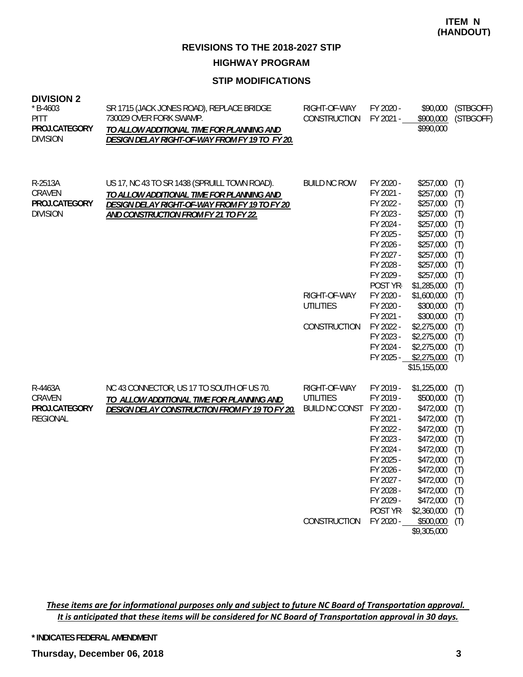#### **STIP MODIFICATIONS**

| <b>DIVISION 2</b> |  |
|-------------------|--|
|-------------------|--|

| $* B - 4603$<br><b>PITT</b><br>PROJ.CATEGORY<br><b>DIVISION</b> | SR 1715 (JACK JONES ROAD), REPLACE BRIDGE<br>730029 OVER FORK SWAMP.<br>TO ALLOW ADDITIONAL TIME FOR PLANNING AND<br>DESIGN DELAY RIGHT-OF-WAY FROM FY 19 TO FY 20.                 | RIGHT-OF-WAY<br>CONSTRUCTION                                                     | FY 2020 -<br>FY 2021 -                                                                                                                                                                                                                | \$90,000<br>\$900,000<br>\$990,000                                                                                                                                                                                                                                 | (STBGOFF)<br>(STBGOFF)                                                                                                     |
|-----------------------------------------------------------------|-------------------------------------------------------------------------------------------------------------------------------------------------------------------------------------|----------------------------------------------------------------------------------|---------------------------------------------------------------------------------------------------------------------------------------------------------------------------------------------------------------------------------------|--------------------------------------------------------------------------------------------------------------------------------------------------------------------------------------------------------------------------------------------------------------------|----------------------------------------------------------------------------------------------------------------------------|
| R-2513A<br>CRAVEN<br>PROJ.CATEGORY<br><b>DIVISION</b>           | US 17, NC 43 TO SR 1438 (SPRUILL TOWN ROAD).<br>TO ALLOW ADDITIONAL TIME FOR PLANNING AND<br>DESIGN DELAY RIGHT-OF-WAY FROM FY 19 TO FY 20<br>AND CONSTRUCTION FROM FY 21 TO FY 22. | <b>BUILD NC ROW</b><br>RIGHT-OF-WAY<br><b>UTILITIES</b><br>CONSTRUCTION          | FY 2020 -<br>FY 2021 -<br>FY 2022 -<br>FY 2023 -<br>FY 2024 -<br>FY 2025 -<br>FY 2026 -<br>FY 2027 -<br>FY 2028 -<br>FY 2029 -<br>POST YR-<br>FY 2020 -<br>FY 2020 -<br>FY 2021 -<br>FY 2022 -<br>FY 2023 -<br>FY 2024 -<br>FY 2025 - | \$257,000<br>\$257,000<br>\$257,000<br>\$257,000<br>\$257,000<br>\$257,000<br>\$257,000<br>\$257,000<br>\$257,000<br>\$257,000<br>\$1,285,000<br>\$1,600,000<br>\$300,000<br>\$300,000<br>\$2,275,000<br>\$2,275,000<br>\$2,275,000<br>\$2,275,000<br>\$15,155,000 | (T)<br>(T)<br>(T)<br>(T)<br>(T)<br>(T)<br>(T)<br>(T)<br>(T)<br>(T)<br>(T)<br>(T)<br>(T)<br>(T)<br>(T)<br>(T)<br>(T)<br>(T) |
| R-4463A<br>CRAVEN<br>PROJ.CATEGORY<br><b>REGIONAL</b>           | NC 43 CONNECTOR, US 17 TO SOUTH OF US 70.<br>TO ALLOW ADDITIONAL TIME FOR PLANNING AND<br>DESIGN DELAY CONSTRUCTION FROM FY 19 TO FY 20.                                            | RIGHT-OF-WAY<br><b>UTILITIES</b><br><b>BUILD NC CONST</b><br><b>CONSTRUCTION</b> | FY 2019 -<br>FY 2019 -<br>FY 2020 -<br>FY 2021 -<br>FY 2022 -<br>FY 2023 -<br>FY 2024 -<br>FY 2025 -<br>FY 2026 -<br>FY 2027 -<br>FY 2028 -<br>FY 2029 -<br>POST YR-<br>FY 2020 -                                                     | \$1,225,000<br>\$500,000<br>\$472,000<br>\$472,000<br>\$472,000<br>\$472,000<br>\$472,000<br>\$472,000<br>\$472,000<br>\$472,000<br>\$472,000<br>\$472,000<br>\$2,360,000<br>\$500,000<br>\$9,305,000                                                              | (T)<br>(T)<br>(T)<br>(T)<br>(T)<br>(T)<br>(T)<br>(T)<br>(T)<br>(T)<br>(T)<br>(T)<br>(T)<br>(T)                             |

These items are for informational purposes only and subject to future NC Board of Transportation approval. It is anticipated that these items will be considered for NC Board of Transportation approval in 30 days.

**\* INDICATES FEDERAL AMENDMENT**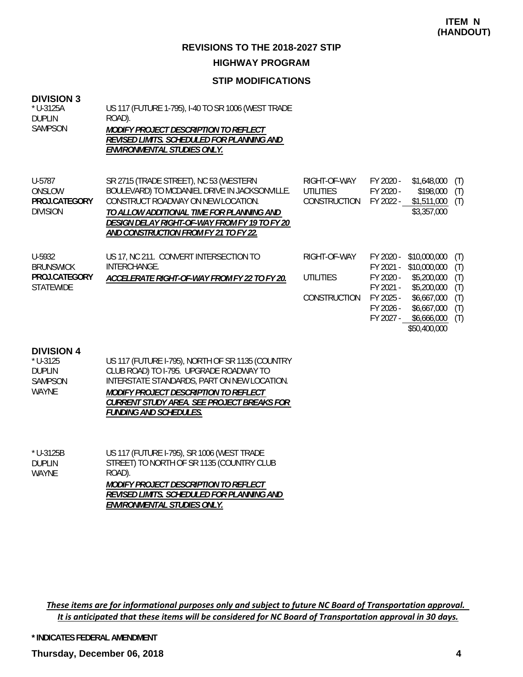#### **STIP MODIFICATIONS**

#### **DIVISION 3**

DIVISION

| $*$ U-3125A<br><b>DUPLIN</b><br>SAMPSON | US 117 (FUTURE 1-795), I-40 TO SR 1006 (WEST TRADE<br>ROAD).<br><b>MODIFY PROJECT DESCRIPTION TO REFLECT</b><br>REVISED LIMITS. SCHEDULED FOR PLANNING AND<br>ENVIRONMENTAL STUDIES ONLY. |                                  |                        |                          |            |
|-----------------------------------------|-------------------------------------------------------------------------------------------------------------------------------------------------------------------------------------------|----------------------------------|------------------------|--------------------------|------------|
| U-5787<br>ONSLOW                        | SR 2715 (TRADE STREET), NC 53 (WESTERN<br>BOULEVARD) TO MCDANIEL DRIVE IN JACKSONVILLE.                                                                                                   | RIGHT-OF-WAY<br><b>UTILITIES</b> | FY 2020 -<br>FY 2020 - | \$1,648,000<br>\$198,000 | (T)<br>(T) |
| PROJ.CATEGORY                           | CONSTRUCT ROADWAY ON NEW LOCATION.                                                                                                                                                        | CONSTRUCTION                     | FY 2022 -              | \$1,511,000              | (T)        |

*TO ALLOW ADDITIONAL TIME FOR PLANNING AND* 

*DESIGN DELAY RIGHT-OF-WAY FROM FY 19 TO FY 20 AND CONSTRUCTION FROM FY 21 TO FY 22.* US 17, NC 211. CONVERT INTERSECTION TO INTERCHANGE. *ACCELERATE RIGHT-OF-WAY FROM FY 22 TO FY 20.* RIGHT-OF-WAY FY 2020 - \$10,000,000 (T) FY 2021 - \$10,000,000 (T) UTILITIES FY 2020 - \$5,200,000 (T) FY 2021 - \$5,200,000 (T) CONSTRUCTION FY 2025 - \$6,667,000 (T) FY 2026 - \$6,667,000 (T) FY 2027 - \$6,666,000 (T) U-5932 **BRUNSWICK STATEWIDE PROJ.CATEGORY**

\$50,400,000

\$3,357,000

#### **DIVISION 4**

| $*$ U-3125     | US 117 (FUTURE I-795), NORTH OF SR 1135 (COUNTRY |
|----------------|--------------------------------------------------|
| <b>DUPLIN</b>  | CLUB ROAD) TO I-795. UPGRADE ROADWAY TO          |
| <b>SAMPSON</b> | INTERSTATE STANDARDS, PART ON NEW LOCATION.      |
| WAYNF          | <i>MODIFY PROJECT DESCRIPTION TO REFLECT</i>     |
|                | CURRENT STUDY AREA. SEE PROJECT BREAKS FOR       |
|                | <i>FUNDING AND SCHEDULES.</i>                    |
|                |                                                  |

| $*$ U-3125B   | US 117 (FUTURE I-795), SR 1006 (WEST TRADE |
|---------------|--------------------------------------------|
| <b>DUPLIN</b> | STREET) TO NORTH OF SR 1135 (COUNTRY CLUB  |
| WAYNF         | ROAD).                                     |
|               | MODIFY PROJECT DESCRIPTION TO REFLECT      |
|               | REVISED LIMITS. SCHEDULED FOR PLANNING AND |
|               | ENVIRONMENTAL STUDIES ONLY.                |

These items are for informational purposes only and subject to future NC Board of Transportation approval. It is anticipated that these items will be considered for NC Board of Transportation approval in 30 days.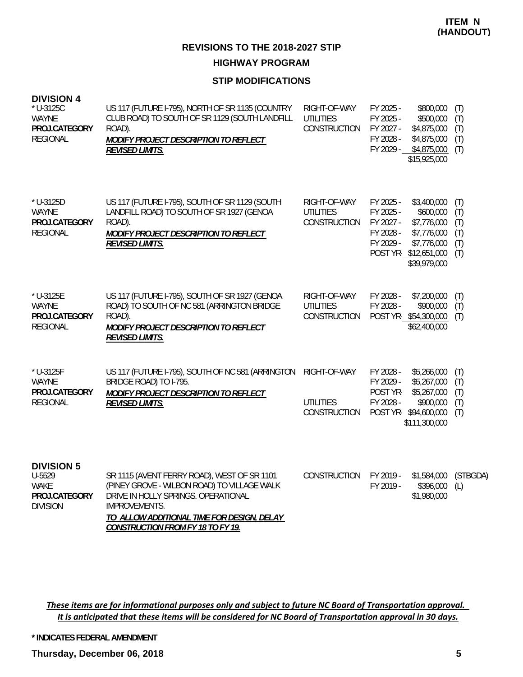#### **STIP MODIFICATIONS**

| <b>DIVISION 4</b><br>$*$ U-3125C<br><b>WAYNE</b><br>PROJ.CATEGORY<br><b>REGIONAL</b> | US 117 (FUTURE I-795), NORTH OF SR 1135 (COUNTRY<br>CLUB ROAD) TO SOUTH OF SR 1129 (SOUTH LANDFILL<br>ROAD).<br>MODIFY PROJECT DESCRIPTION TO REFLECT<br><b>REVISED LIMITS.</b>                         | RIGHT-OF-WAY<br><b>UTILITIES</b><br><b>CONSTRUCTION</b> | FY 2025 -<br>\$800,000<br>FY 2025 -<br>\$500,000<br>FY 2027 -<br>\$4,875,000<br>FY 2028 -<br>\$4,875,000<br>FY 2029 - \$4,875,000<br>\$15,925,000                              | (T)<br>(T)<br>(T)<br>(T)<br>(T)        |
|--------------------------------------------------------------------------------------|---------------------------------------------------------------------------------------------------------------------------------------------------------------------------------------------------------|---------------------------------------------------------|--------------------------------------------------------------------------------------------------------------------------------------------------------------------------------|----------------------------------------|
| * U-3125D<br><b>WAYNE</b><br>PROJ.CATEGORY<br><b>REGIONAL</b>                        | US 117 (FUTURE I-795), SOUTH OF SR 1129 (SOUTH<br>LANDFILL ROAD) TO SOUTH OF SR 1927 (GENOA<br>ROAD).<br>MODIFY PROJECT DESCRIPTION TO REFLECT<br><b>REVISED LIMITS.</b>                                | RIGHT-OF-WAY<br><b>UTILITIES</b><br><b>CONSTRUCTION</b> | FY 2025 -<br>\$3,400,000<br>FY 2025 -<br>\$600,000<br>FY 2027 -<br>\$7,776,000<br>FY 2028 -<br>\$7,776,000<br>FY 2029 -<br>\$7,776,000<br>POST YR-\$12,651,000<br>\$39,979,000 | (T)<br>(T)<br>(T)<br>(T)<br>(T)<br>(T) |
| * U-3125E<br><b>WAYNE</b><br>PROJ.CATEGORY<br><b>REGIONAL</b>                        | US 117 (FUTURE I-795), SOUTH OF SR 1927 (GENOA<br>ROAD) TO SOUTH OF NC 581 (ARRINGTON BRIDGE<br>ROAD).<br>MODIFY PROJECT DESCRIPTION TO REFLECT<br><b>REVISED LIMITS.</b>                               | RIGHT-OF-WAY<br><b>UTILITIES</b><br>CONSTRUCTION        | FY 2028 -<br>\$7,200,000<br>FY 2028 -<br>\$900,000<br>POST YR-\$54,300,000<br>\$62,400,000                                                                                     | (T)<br>(T)<br>(T)                      |
| * U-3125F<br><b>WAYNE</b><br>PROJ.CATEGORY<br><b>REGIONAL</b>                        | US 117 (FUTURE I-795), SOUTH OF NC 581 (ARRINGTON<br>BRIDGE ROAD) TO I-795.<br>MODIFY PROJECT DESCRIPTION TO REFLECT<br><b>REVISED LIMITS.</b>                                                          | RIGHT-OF-WAY<br><b>UTILITIES</b><br>CONSTRUCTION        | \$5,266,000<br>FY 2028 -<br>FY 2029 -<br>\$5,267,000<br>POST YR-<br>\$5,267,000<br>FY 2028 -<br>\$900,000<br>POST YR-\$94,600,000<br>\$111,300,000                             | (T)<br>(T)<br>(T)<br>(T)<br>(T)        |
| <b>DIVISION 5</b><br>U-5529<br><b>WAKE</b><br>PROJ.CATEGORY<br><b>DIVISION</b>       | SR 1115 (AVENT FERRY ROAD), WEST OF SR 1101<br>(PINEY GROVE - WILBON ROAD) TO VILLAGE WALK<br>DRIVE IN HOLLY SPRINGS. OPERATIONAL<br><b>IMPROVEMENTS.</b><br>TO ALLOW ADDITIONAL TIME FOR DESIGN, DELAY | CONSTRUCTION                                            | FY 2019 -<br>\$1,584,000<br>FY 2019 -<br>\$396,000<br>\$1,980,000                                                                                                              | (STBGDA)<br>(L)                        |

These items are for informational purposes only and subject to future NC Board of Transportation approval. It is anticipated that these items will be considered for NC Board of Transportation approval in 30 days.

*CONSTRUCTION FROM FY 18 TO FY 19.*

**\* INDICATES FEDERAL AMENDMENT**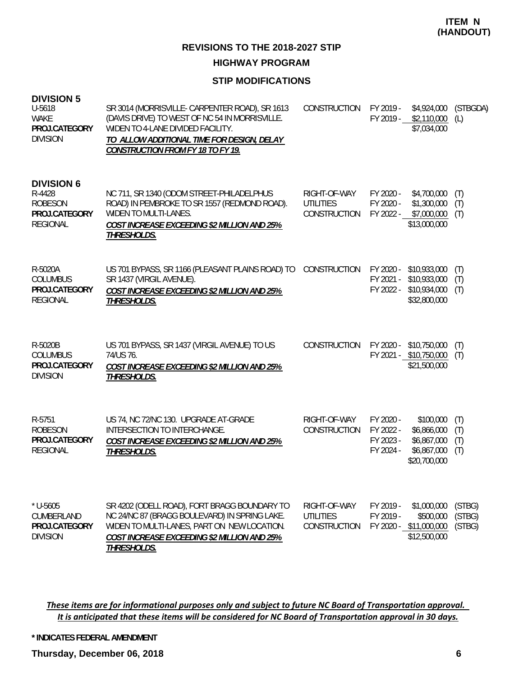**HIGHWAY PROGRAM**

### **STIP MODIFICATIONS**

| <b>DIVISION 5</b><br>U-5618<br><b>WAKE</b><br>PROJ.CATEGORY<br><b>DIVISION</b>    | SR 3014 (MORRISVILLE- CARPENTER ROAD), SR 1613<br>(DAVIS DRIVE) TO WEST OF NC 54 IN MORRISVILLE.<br>WIDEN TO 4-LANE DIVIDED FACILITY.<br>TO ALLOW ADDITIONAL TIME FOR DESIGN, DELAY<br><b>CONSTRUCTION FROM FY 18 TO FY 19.</b> | CONSTRUCTION                                     | FY 2019 -                                        | \$4,924,000<br>FY 2019 - \$2,110,000<br>\$7,034,000                    | (STBGDA)<br>(L)            |
|-----------------------------------------------------------------------------------|---------------------------------------------------------------------------------------------------------------------------------------------------------------------------------------------------------------------------------|--------------------------------------------------|--------------------------------------------------|------------------------------------------------------------------------|----------------------------|
| <b>DIVISION 6</b><br>R-4428<br><b>ROBESON</b><br>PROJ.CATEGORY<br><b>REGIONAL</b> | NC 711, SR 1340 (ODOM STREET-PHILADELPHUS<br>ROAD) IN PEMBROKE TO SR 1557 (REDMOND ROAD).<br><b>WIDEN TO MULTI-LANES.</b><br><b>COST INCREASE EXCEEDING \$2 MILLION AND 25%</b><br>THRESHOLDS.                                  | RIGHT-OF-WAY<br><b>UTILITIES</b><br>CONSTRUCTION | FY 2020 -<br>FY 2020 -<br>FY 2022 -              | \$4,700,000<br>\$1,300,000<br>\$7,000,000<br>\$13,000,000              | (T)<br>(T)<br>(T)          |
| R-5020A<br><b>COLUMBUS</b><br>PROJ.CATEGORY<br><b>REGIONAL</b>                    | US 701 BYPASS, SR 1166 (PLEASANT PLAINS ROAD) TO<br>SR 1437 (VIRGIL AVENUE).<br>COST INCREASE EXCEEDING \$2 MILLION AND 25%<br>THRESHOLDS.                                                                                      | CONSTRUCTION                                     | FY 2020 -<br>FY 2021 -<br>FY 2022 -              | \$10,933,000<br>\$10,933,000<br>\$10,934,000<br>\$32,800,000           | (T)<br>(T)<br>(T)          |
| R-5020B<br><b>COLUMBUS</b><br>PROJ.CATEGORY<br><b>DIVISION</b>                    | US 701 BYPASS, SR 1437 (VIRGIL AVENUE) TO US<br>74/US 76.<br><b>COST INCREASE EXCEEDING \$2 MILLION AND 25%</b><br><b>THRESHOLDS.</b>                                                                                           | CONSTRUCTION                                     | FY 2020 -                                        | \$10,750,000<br>FY 2021 - \$10,750,000<br>\$21,500,000                 | (T)<br>(T)                 |
| R-5751<br><b>ROBESON</b><br>PROJ.CATEGORY<br><b>REGIONAL</b>                      | US 74, NC 72/NC 130. UPGRADE AT-GRADE<br>INTERSECTION TO INTERCHANGE.<br>COST INCREASE EXCEEDING \$2 MILLION AND 25%<br>THRESHOLDS.                                                                                             | RIGHT-OF-WAY<br>CONSTRUCTION                     | FY 2020 -<br>FY 2022 -<br>FY 2023 -<br>FY 2024 - | \$100,000<br>\$6,866,000<br>\$6,867,000<br>\$6,867,000<br>\$20,700,000 | (T)<br>(T)<br>(T)<br>(T)   |
| $*$ U-5605<br>CUMBERLAND<br>PROJ.CATEGORY<br><b>DIVISION</b>                      | SR 4202 (ODELL ROAD), FORT BRAGG BOUNDARY TO<br>NC 24/NC 87 (BRAGG BOULEVARD) IN SPRING LAKE.<br>WIDEN TO MULTI-LANES, PART ON NEW LOCATION.<br>COST INCREASE EXCEEDING \$2 MILLION AND 25%<br>THRESHOLDS.                      | RIGHT-OF-WAY<br><b>UTILITIES</b><br>CONSTRUCTION | FY 2019 -<br>FY 2019 -                           | \$1,000,000<br>\$500,000<br>FY 2020 - \$11,000,000<br>\$12,500,000     | (STBG)<br>(STBG)<br>(STBG) |

These items are for informational purposes only and subject to future NC Board of Transportation approval. It is anticipated that these items will be considered for NC Board of Transportation approval in 30 days.

**\* INDICATES FEDERAL AMENDMENT**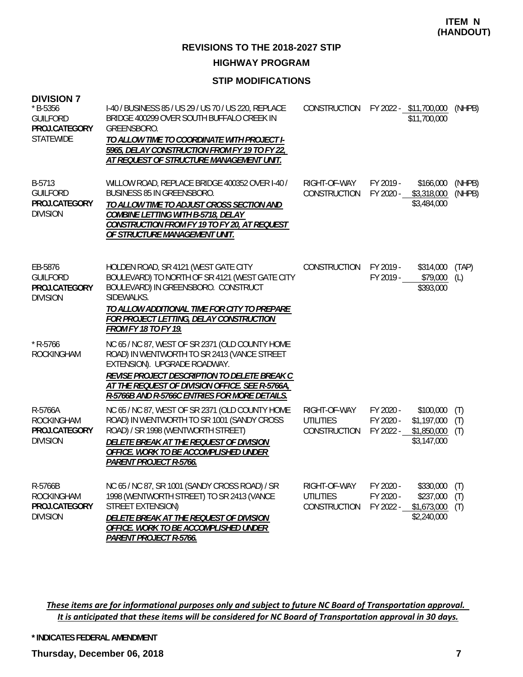#### **HIGHWAY PROGRAM**

#### **STIP MODIFICATIONS**

| <b>DIVISION 7</b><br>* B-5356<br><b>GUILFORD</b><br>PROJ.CATEGORY<br><b>STATEWIDE</b> | I-40 / BUSINESS 85 / US 29 / US 70 / US 220, REPLACE<br>BRIDGE 400299 OVER SOUTH BUFFALO CREEK IN<br>GREENSBORO.<br>TO ALLOW TIME TO COORDINATE WITH PROJECT I-<br>5965, DELAY CONSTRUCTION FROM FY 19 TO FY 22,<br>AT REQUEST OF STRUCTURE MANAGEMENT UNIT.                       | CONSTRUCTION                                     |                                     | FY 2022 - \$11,700,000<br>\$11,700,000                 | (NHPB)            |
|---------------------------------------------------------------------------------------|------------------------------------------------------------------------------------------------------------------------------------------------------------------------------------------------------------------------------------------------------------------------------------|--------------------------------------------------|-------------------------------------|--------------------------------------------------------|-------------------|
| B-5713<br><b>GUILFORD</b><br>PROJ.CATEGORY<br><b>DIVISION</b>                         | WILLOW ROAD, REPLACE BRIDGE 400352 OVER I-40 /<br>BUSINESS 85 IN GREENSBORO.<br>TO ALLOW TIME TO ADJUST CROSS SECTION AND<br>COMBINE LETTING WITH B-5718, DELAY<br>CONSTRUCTION FROM FY 19 TO FY 20, AT REQUEST<br>OF STRUCTURE MANAGEMENT UNIT.                                   | RIGHT-OF-WAY<br>CONSTRUCTION                     | FY 2019 -<br>FY 2020 -              | \$166,000<br>\$3,318,000<br>\$3,484,000                | (NHPB)<br>(NHPB)  |
| EB-5876<br><b>GUILFORD</b><br>PROJ.CATEGORY<br><b>DIVISION</b>                        | HOLDEN ROAD, SR 4121 (WEST GATE CITY<br>BOULEVARD) TO NORTH OF SR 4121 (WEST GATE CITY<br>BOULEVARD) IN GREENSBORO. CONSTRUCT<br>SIDEWALKS.<br>TO ALLOW ADDITIONAL TIME FOR CITY TO PREPARE<br>FOR PROJECT LETTING, DELAY CONSTRUCTION<br><b>FROM FY 18 TO FY 19.</b>              | CONSTRUCTION                                     | FY 2019 -<br>FY 2019 -              | \$314,000<br>\$79,000<br>\$393,000                     | (TAP)<br>(L)      |
| $*$ R-5766<br><b>ROCKINGHAM</b>                                                       | NC 65 / NC 87, WEST OF SR 2371 (OLD COUNTY HOME<br>ROAD) IN WENTWORTH TO SR 2413 (VANCE STREET<br>EXTENSION). UPGRADE ROADWAY.<br>REVISE PROJECT DESCRIPTION TO DELETE BREAK C<br>AT THE REQUEST OF DIVISION OFFICE. SEE R-5766A,<br>R-5766B AND R-5766C ENTRIES FOR MORE DETAILS. |                                                  |                                     |                                                        |                   |
| R-5766A<br><b>ROCKINGHAM</b><br>PROJ.CATEGORY<br><b>DIVISION</b>                      | NC 65 / NC 87, WEST OF SR 2371 (OLD COUNTY HOME<br>ROAD) IN WENTWORTH TO SR 1001 (SANDY CROSS<br>ROAD) / SR 1998 (WENTWORTH STREET)<br>DELETE BREAK AT THE REQUEST OF DIVISION<br>OFFICE. WORK TO BE ACCOMPLISHED UNDER<br><b>PARENT PROJECT R-5766.</b>                           | RIGHT-OF-WAY<br><b>UTILITIES</b><br>CONSTRUCTION | FY 2020 -<br>FY 2020 -<br>FY 2022 - | \$100,000<br>\$1,197,000<br>\$1,850,000<br>\$3,147,000 | (T)<br>(T)<br>(T) |
| R-5766B<br><b>ROCKINGHAM</b><br>PROJ.CATEGORY<br><b>DIVISION</b>                      | NC 65 / NC 87, SR 1001 (SANDY CROSS ROAD) / SR<br>1998 (WENTWORTH STREET) TO SR 2413 (VANCE<br>STREET EXTENSION)<br>DELETE BREAK AT THE REQUEST OF DIVISION<br>OFFICE. WORK TO BE ACCOMPLISHED UNDER<br>PARENT PROJECT R-5766.                                                     | RIGHT-OF-WAY<br><b>UTILITIES</b><br>CONSTRUCTION | FY 2020 -<br>FY 2020 -<br>FY 2022 - | \$330,000<br>\$237,000<br>\$1,673,000<br>\$2,240,000   | (T)<br>(T)<br>(T) |

These items are for informational purposes only and subject to future NC Board of Transportation approval. It is anticipated that these items will be considered for NC Board of Transportation approval in 30 days.

**\* INDICATES FEDERAL AMENDMENT**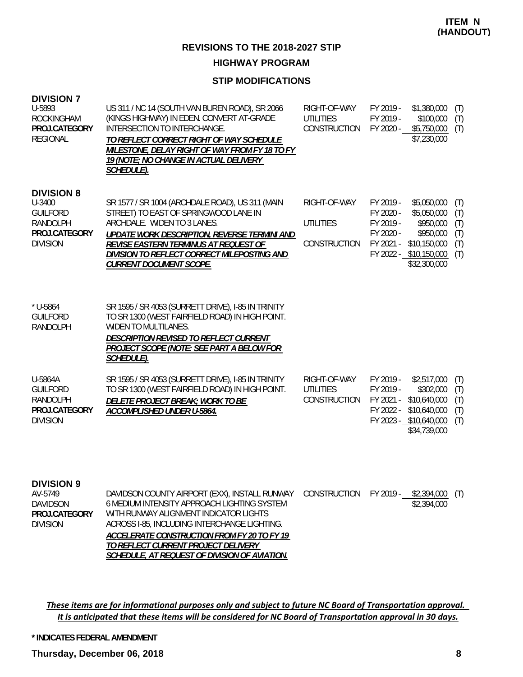## **HIGHWAY PROGRAM**

### **STIP MODIFICATIONS**

| <b>DIVISION 7</b><br>U-5893<br><b>ROCKINGHAM</b><br>PROJ.CATEGORY<br><b>REGIONAL</b>                  | US 311 / NC 14 (SOUTH VAN BUREN ROAD), SR 2066<br>(KINGS HIGHWAY) IN EDEN. CONVERT AT-GRADE<br>INTERSECTION TO INTERCHANGE.<br>TO REFLECT CORRECT RIGHT OF WAY SCHEDULE<br>MILESTONE, DELAY RIGHT OF WAY FROM FY 18 TO FY<br>19 (NOTE; NO CHANGE IN ACTUAL DELIVERY<br><u>SCHEDULE).</u>          | RIGHT-OF-WAY<br><b>UTILITIES</b><br>CONSTRUCTION | FY 2019 -<br>FY 2019 -<br>FY 2020 -                           | \$1,380,000<br>\$100,000<br>\$5,750,000<br>\$7,230,000                                                         | (T)<br>(T)<br>(T)                      |
|-------------------------------------------------------------------------------------------------------|---------------------------------------------------------------------------------------------------------------------------------------------------------------------------------------------------------------------------------------------------------------------------------------------------|--------------------------------------------------|---------------------------------------------------------------|----------------------------------------------------------------------------------------------------------------|----------------------------------------|
| <b>DIVISION 8</b><br>U-3400<br><b>GUILFORD</b><br><b>RANDOLPH</b><br>PROJ.CATEGORY<br><b>DIVISION</b> | SR 1577 / SR 1004 (ARCHDALE ROAD), US 311 (MAIN<br>STREET) TO EAST OF SPRINGWOOD LANE IN<br>ARCHDALE. WIDEN TO 3 LANES.<br>UPDATE WORK DESCRIPTION, REVERSE TERMINI AND<br>REVISE EASTERN TERMINUS AT REQUEST OF<br>DIVISION TO REFLECT CORRECT MILEPOSTING AND<br><b>CURRENT DOCUMENT SCOPE.</b> | RIGHT-OF-WAY<br><b>UTILITIES</b><br>CONSTRUCTION | FY 2019 -<br>FY 2020 -<br>FY 2019 -<br>FY 2020 -<br>FY 2021 - | \$5,050,000<br>\$5,050,000<br>\$950,000<br>\$950,000<br>\$10,150,000<br>FY 2022 - \$10,150,000<br>\$32,300,000 | (T)<br>(T)<br>(T)<br>(T)<br>(T)<br>(T) |
| $*$ U-5864<br><b>GUILFORD</b><br><b>RANDOLPH</b>                                                      | SR 1595 / SR 4053 (SURRETT DRIVE), I-85 IN TRINITY<br>TO SR 1300 (WEST FAIRFIELD ROAD) IN HIGH POINT.<br>WIDEN TO MULTILANES.<br>DESCRIPTION REVISED TO REFLECT CURRENT<br>PROJECT SCOPE (NOTE: SEE PART A BELOW FOR<br>SCHEDULE).                                                                |                                                  |                                                               |                                                                                                                |                                        |
| U-5864A<br><b>GUILFORD</b><br><b>RANDOLPH</b><br>PROJ.CATEGORY<br><b>DIVISION</b>                     | SR 1595 / SR 4053 (SURRETT DRIVE), I-85 IN TRINITY<br>TO SR 1300 (WEST FAIRFIELD ROAD) IN HIGH POINT.<br>DELETE PROJECT BREAK; WORK TO BE<br>ACCOMPLISHED UNDER U-5864.                                                                                                                           | RIGHT-OF-WAY<br><b>UTILITIES</b><br>CONSTRUCTION | FY 2019 -<br>FY 2019 -<br>FY 2021 -<br>FY 2022 -              | \$2,517,000<br>\$302,000<br>\$10,640,000<br>\$10,640,000<br>FY 2023 - \$10,640,000<br>\$34,739,000             | (T)<br>(T)<br>(T)<br>(T)<br>(T)        |
| <b>DIVISION 9</b><br>AV-5749                                                                          | DAVIDSON COUNTY AIRPORT (EXX), INSTALL RUNWAY                                                                                                                                                                                                                                                     | <b>CONSTRUCTION</b>                              | FY 2019 -                                                     | \$2,394,000                                                                                                    | (T)                                    |

6 MEDIUM INTENSITY APPROACH LIGHTING SYSTEM WITH RUNWAY ALIGNMENT INDICATOR LIGHTS ACROSS I-85, INCLUDING INTERCHANGE LIGHTING. *ACCELERATE CONSTRUCTION FROM FY 20 TO FY 19 TO REFLECT CURRENT PROJECT DELIVERY SCHEDULE, AT REQUEST OF DIVISION OF AVIATION.* \$2,394,000 DAVIDSON DIVISION **PROJ.CATEGORY**

These items are for informational purposes only and subject to future NC Board of Transportation approval. It is anticipated that these items will be considered for NC Board of Transportation approval in 30 days.

**\* INDICATES FEDERAL AMENDMENT**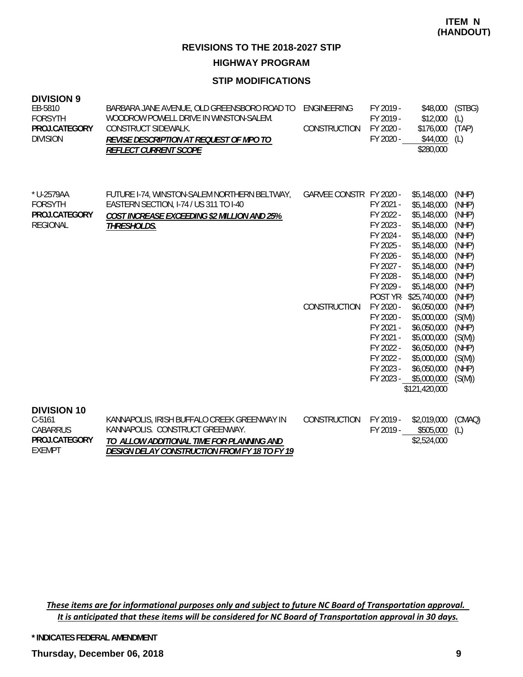**HIGHWAY PROGRAM**

### **STIP MODIFICATIONS**

| <b>DIVISION 9</b><br>EB-5810<br><b>FORSYTH</b><br>PROJ.CATEGORY<br><b>DIVISION</b>  | BARBARA JANE AVENUE, OLD GREENSBORO ROAD TO<br>WOODROW POWELL DRIVE IN WINSTON-SALEM.<br>CONSTRUCT SIDEWALK.<br>REVISE DESCRIPTION AT REQUEST OF MPO TO<br><b>REFLECT CURRENT SCOPE</b> | ENGINEERING<br>CONSTRUCTION             | FY 2019 -<br>FY 2019 -<br>FY 2020 -<br>FY 2020 -                                                                                                                                                                                      | \$48,000<br>\$12,000<br>\$176,000<br>\$44,000<br>\$280,000                                                                                                                                                                                                                                                  | (STBG)<br>(L)<br>(TAP)<br>(L)                                                                                                                                               |
|-------------------------------------------------------------------------------------|-----------------------------------------------------------------------------------------------------------------------------------------------------------------------------------------|-----------------------------------------|---------------------------------------------------------------------------------------------------------------------------------------------------------------------------------------------------------------------------------------|-------------------------------------------------------------------------------------------------------------------------------------------------------------------------------------------------------------------------------------------------------------------------------------------------------------|-----------------------------------------------------------------------------------------------------------------------------------------------------------------------------|
| * U-2579AA<br><b>FORSYTH</b><br>PROJ.CATEGORY<br><b>REGIONAL</b>                    | FUTURE 1-74, WINSTON-SALEM NORTHERN BELTWAY,<br>EASTERN SECTION, I-74 / US 311 TO I-40<br>COST INCREASE EXCEEDING \$2 MILLION AND 25%<br>THRESHOLDS.                                    | GARVEE CONSTR FY 2020 -<br>CONSTRUCTION | FY 2021 -<br>FY 2022 -<br>FY 2023 -<br>FY 2024 -<br>FY 2025 -<br>FY 2026 -<br>FY 2027 -<br>FY 2028 -<br>FY 2029 -<br>POST YR-<br>FY 2020 -<br>FY 2020 -<br>FY 2021 -<br>FY 2021 -<br>FY 2022 -<br>FY 2022 -<br>FY 2023 -<br>FY 2023 - | \$5,148,000<br>\$5,148,000<br>\$5,148,000<br>\$5,148,000<br>\$5,148,000<br>\$5,148,000<br>\$5,148,000<br>\$5,148,000<br>\$5,148,000<br>\$5,148,000<br>\$25,740,000<br>\$6,050,000<br>\$5,000,000<br>\$6,050,000<br>\$5,000,000<br>\$6,050,000<br>\$5,000,000<br>\$6,050,000<br>\$5,000,000<br>\$121,420,000 | (NHP)<br>(NHP)<br>(NHP)<br>(NHP)<br>(NHP)<br>(NHP)<br>(NHP)<br>(NHP)<br>(NHP)<br>(NHP)<br>(NHP)<br>(NHP)<br>(S(M))<br>(NHP)<br>(S(M))<br>(NHP)<br>(S(M))<br>(NHP)<br>(S(M)) |
| <b>DIVISION 10</b><br>$C-5161$<br><b>CABARRUS</b><br>PROJ.CATEGORY<br><b>EXEMPT</b> | KANNAPOLIS, IRISH BUFFALO CREEK GREENWAY IN<br>KANNAPOLIS. CONSTRUCT GREENWAY.<br>TO ALLOW ADDITIONAL TIME FOR PLANNING AND<br>DESIGN DELAY CONSTRUCTION FROM EY 18 TO EY 19            | CONSTRUCTION                            | FY 2019 -<br>FY 2019 -                                                                                                                                                                                                                | \$2,019,000<br>\$505,000<br>\$2,524,000                                                                                                                                                                                                                                                                     | (CMAQ)<br>(L)                                                                                                                                                               |

*DESIGN DELAY CONSTRUCTION FROM FY 18 TO FY 19*

These items are for informational purposes only and subject to future NC Board of Transportation approval. It is anticipated that these items will be considered for NC Board of Transportation approval in 30 days.

**\* INDICATES FEDERAL AMENDMENT**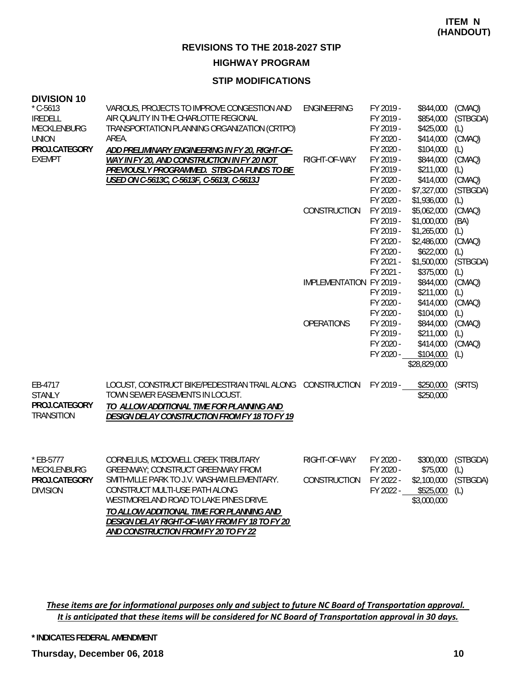**HIGHWAY PROGRAM**

#### **STIP MODIFICATIONS**

#### **DIVISION 10**

| טו דוטוטויט<br>$*$ C-5613<br><b>IREDELL</b><br><b>MECKLENBURG</b><br><b>UNION</b><br>PROJ.CATEGORY | VARIOUS, PROJECTS TO IMPROVE CONGESTION AND<br>AIR QUALITY IN THE CHARLOTTE REGIONAL<br>TRANSPORTATION PLANNING ORGANIZATION (CRTPO)<br>AREA.                                                                                                          | <b>ENGINEERING</b>           | FY 2019 -<br>FY 2019 -<br>FY 2019 -<br>FY 2020 -<br>FY 2020 -                                        | \$844,000<br>\$854,000<br>\$425,000<br>\$414,000<br>\$104,000                                                    | (CMAQ)<br>(STBGDA)<br>(L)<br>(CMAQ)<br>(L)                       |
|----------------------------------------------------------------------------------------------------|--------------------------------------------------------------------------------------------------------------------------------------------------------------------------------------------------------------------------------------------------------|------------------------------|------------------------------------------------------------------------------------------------------|------------------------------------------------------------------------------------------------------------------|------------------------------------------------------------------|
| <b>EXEMPT</b>                                                                                      | ADD PRELIMINARY ENGINEERING IN FY 20, RIGHT-OF-<br>WAY IN FY 20, AND CONSTRUCTION IN FY 20 NOT<br>PREVIOUSLY PROGRAMMED. STBG-DA FUNDS TO BE<br>USED ON C-5613C, C-5613F, C-5613I, C-5613J                                                             | RIGHT-OF-WAY                 | FY 2019 -<br>FY 2019 -<br>FY 2020 -<br>FY 2020 -                                                     | \$844,000<br>\$211,000<br>\$414,000<br>\$7,327,000                                                               | (CMAQ)<br>(L)<br>(CMAQ)<br>(STBGDA)                              |
|                                                                                                    |                                                                                                                                                                                                                                                        | CONSTRUCTION                 | FY 2020 -<br>FY 2019 -<br>FY 2019 -<br>FY 2019 -<br>FY 2020 -<br>FY 2020 -<br>FY 2021 -<br>FY 2021 - | \$1,936,000<br>\$5,062,000<br>\$1,000,000<br>\$1,265,000<br>\$2,486,000<br>\$622,000<br>\$1,500,000<br>\$375,000 | (L)<br>(CMAQ)<br>(BA)<br>(L)<br>(CMAQ)<br>(L)<br>(STBGDA)<br>(L) |
|                                                                                                    |                                                                                                                                                                                                                                                        | IMPLEMENTATION FY 2019 -     | FY 2019 -<br>FY 2020 -<br>FY 2020 -                                                                  | \$844,000<br>\$211,000<br>\$414,000<br>\$104,000                                                                 | (CMAQ)<br>(L)<br>(CMAQ)<br>(L)                                   |
|                                                                                                    |                                                                                                                                                                                                                                                        | <b>OPERATIONS</b>            | FY 2019 -<br>FY 2019 -<br>FY 2020 -<br>FY 2020 -                                                     | \$844,000<br>\$211,000<br>\$414,000<br>\$104,000<br>\$28,829,000                                                 | (CMAQ)<br>(L)<br>(CMAQ)<br>(L)                                   |
| EB-4717<br><b>STANLY</b><br>PROJ.CATEGORY<br><b>TRANSITION</b>                                     | LOCUST, CONSTRUCT BIKE/PEDESTRIAN TRAIL ALONG CONSTRUCTION<br>TOWN SEWER EASEMENTS IN LOCUST.<br>TO ALLOW ADDITIONAL TIME FOR PLANNING AND<br>DESIGN DELAY CONSTRUCTION FROM FY 18 TO FY 19                                                            |                              | FY 2019 -                                                                                            | \$250,000<br>\$250,000                                                                                           | (SRTS)                                                           |
| * EB-5777<br>MECKLENBURG<br>PROJ.CATEGORY<br><b>DIVISION</b>                                       | CORNELIUS, MCDOWELL CREEK TRIBUTARY<br><b>GREENWAY: CONSTRUCT GREENWAY FROM</b><br>SMITHVILLE PARK TO J.V. WASHAM ELEMENTARY.<br>CONSTRUCT MULTI-USE PATH ALONG<br>WESTMORELAND ROAD TO LAKE PINES DRIVE.<br>TO ALLOW ADDITIONAL TIME FOR PLANNING AND | RIGHT-OF-WAY<br>CONSTRUCTION | FY 2020 -<br>FY 2020 -<br>FY 2022 -<br>FY 2022 -                                                     | \$300,000<br>\$75,000<br>\$2,100,000<br>\$525,000<br>\$3,000,000                                                 | (STBGDA)<br>(L)<br>(STBGDA)<br>(L)                               |

These items are for informational purposes only and subject to future NC Board of Transportation approval. It is anticipated that these items will be considered for NC Board of Transportation approval in 30 days.

*DESIGN DELAY RIGHT-OF-WAY FROM FY 18 TO FY 20* 

*AND CONSTRUCTION FROM FY 20 TO FY 22*

**\* INDICATES FEDERAL AMENDMENT**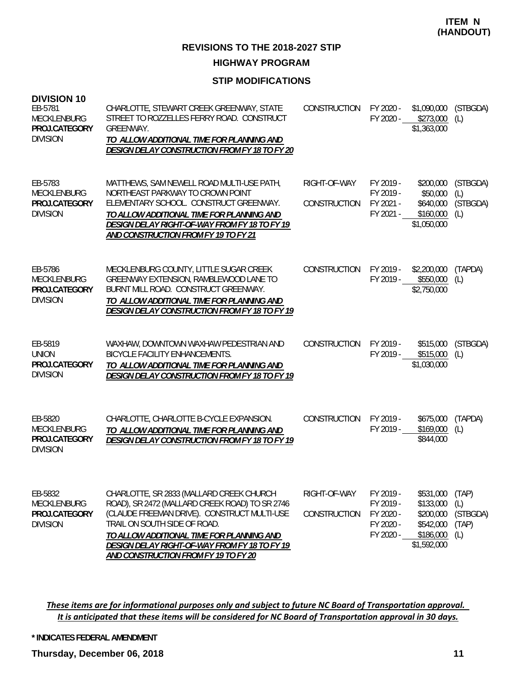**HIGHWAY PROGRAM**

### **STIP MODIFICATIONS**

| <b>DIVISION 10</b><br>EB-5781<br><b>MECKLENBURG</b><br>PROJ.CATEGORY<br><b>DIVISION</b> | CHARLOTTE, STEWART CREEK GREENWAY, STATE<br>STREET TO ROZZELLES FERRY ROAD. CONSTRUCT<br>GREENWAY.<br>TO ALLOW ADDITIONAL TIME FOR PLANNING AND<br><b>DESIGN DELAY CONSTRUCTION FROM FY 18 TO FY 20</b>                                                                                                                | CONSTRUCTION                 | FY 2020 -                                                     | \$1,090,000<br>FY 2020 - \$273,000<br>\$1,363,000                            | (STBGDA)<br>(L)                          |
|-----------------------------------------------------------------------------------------|------------------------------------------------------------------------------------------------------------------------------------------------------------------------------------------------------------------------------------------------------------------------------------------------------------------------|------------------------------|---------------------------------------------------------------|------------------------------------------------------------------------------|------------------------------------------|
| EB-5783<br><b>MECKLENBURG</b><br>PROJ.CATEGORY<br><b>DIVISION</b>                       | MATTHEWS, SAM NEWELL ROAD MULTI-USE PATH,<br>NORTHEAST PARKWAY TO CROWN POINT<br>ELEMENTARY SCHOOL. CONSTRUCT GREENWAY.<br>TO ALLOW ADDITIONAL TIME FOR PLANNING AND<br>DESIGN DELAY RIGHT-OF-WAY FROM FY 18 TO FY 19<br>AND CONSTRUCTION FROM FY 19 TO FY 21                                                          | RIGHT-OF-WAY<br>CONSTRUCTION | FY 2019 -<br>FY 2019 -<br>FY 2021 -<br>FY 2021 -              | \$200,000<br>\$50,000<br>\$640,000<br>\$160,000<br>\$1,050,000               | (STBGDA)<br>(L)<br>(STBGDA)<br>(L)       |
| EB-5786<br><b>MECKLENBURG</b><br>PROJ.CATEGORY<br><b>DIVISION</b>                       | MECKLENBURG COUNTY, LITTLE SUGAR CREEK<br>GREENWAY EXTENSION, RAMBLEWOOD LANE TO<br>BURNT MILL ROAD. CONSTRUCT GREENWAY.<br>TO ALLOW ADDITIONAL TIME FOR PLANNING AND<br>DESIGN DELAY CONSTRUCTION FROM FY 18 TO FY 19                                                                                                 | CONSTRUCTION                 | FY 2019 -<br>FY 2019 -                                        | \$2,200,000<br>\$550,000<br>\$2,750,000                                      | (TAPDA)<br>(L)                           |
| EB-5819<br><b>UNION</b><br>PROJ.CATEGORY<br><b>DIVISION</b>                             | WAXHAW, DOWNTOWN WAXHAW PEDESTRIAN AND<br><b>BICYCLE FACILITY ENHANCEMENTS.</b><br>TO ALLOW ADDITIONAL TIME FOR PLANNING AND<br>DESIGN DELAY CONSTRUCTION FROM FY 18 TO FY 19                                                                                                                                          | CONSTRUCTION                 | FY 2019 -<br>FY 2019 -                                        | \$515,000<br>\$515,000<br>\$1,030,000                                        | (STBGDA)<br>(L)                          |
| EB-5820<br><b>MECKLENBURG</b><br>PROJ.CATEGORY<br><b>DIVISION</b>                       | CHARLOTTE, CHARLOTTE B-CYCLE EXPANSION.<br>TO ALLOW ADDITIONAL TIME FOR PLANNING AND<br>DESIGN DELAY CONSTRUCTION FROM FY 18 TO FY 19                                                                                                                                                                                  | CONSTRUCTION                 | FY 2019 -<br>FY 2019 -                                        | \$675,000<br>\$169,000<br>\$844,000                                          | (TAPDA)<br>(L)                           |
| EB-5832<br>MECKLENBURG<br>PROJ.CATEGORY<br><b>DIVISION</b>                              | CHARLOTTE, SR 2833 (MALLARD CREEK CHURCH<br>ROAD), SR 2472 (MALLARD CREEK ROAD) TO SR 2746<br>(CLAUDE FREEMAN DRIVE). CONSTRUCT MULTI-USE<br>TRAIL ON SOUTH SIDE OF ROAD.<br>TO ALLOW ADDITIONAL TIME FOR PLANNING AND<br>DESIGN DELAY RIGHT-OF-WAY FROM FY 18 TO FY 19<br><u>AND CONSTRUCTION FROM FY 19 TO FY 20</u> | RIGHT-OF-WAY<br>CONSTRUCTION | FY 2019 -<br>FY 2019 -<br>FY 2020 -<br>FY 2020 -<br>FY 2020 - | \$531,000<br>\$133,000<br>\$200,000<br>\$542,000<br>\$186,000<br>\$1,592,000 | (TAP)<br>(L)<br>(STBGDA)<br>(TAP)<br>(L) |

These items are for informational purposes only and subject to future NC Board of Transportation approval. It is anticipated that these items will be considered for NC Board of Transportation approval in 30 days.

**\* INDICATES FEDERAL AMENDMENT**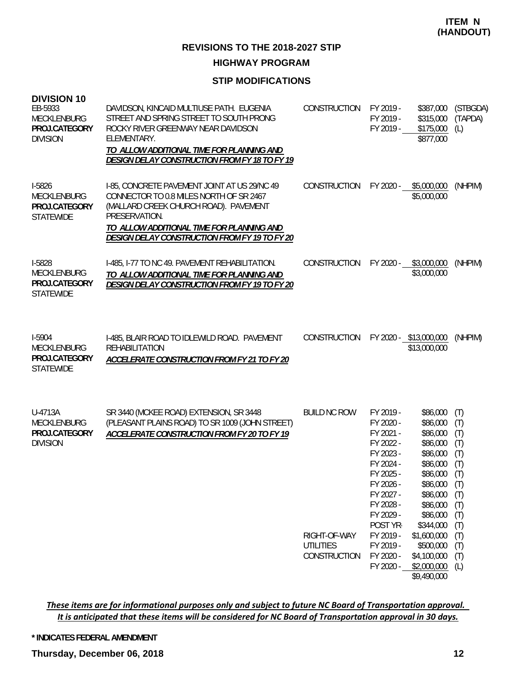**HIGHWAY PROGRAM**

#### **STIP MODIFICATIONS**

| <b>DIVISION 10</b><br>EB-5933<br>MECKLENBURG<br>PROJ.CATEGORY<br><b>DIVISION</b> | DAVIDSON, KINCAID MULTIUSE PATH. EUGENIA<br>STREET AND SPRING STREET TO SOUTH PRONG<br>ROCKY RIVER GREENWAY NEAR DAVIDSON<br>ELEMENTARY.<br>TO ALLOW ADDITIONAL TIME FOR PLANNING AND<br>DESIGN DELAY CONSTRUCTION FROM FY 18 TO FY 19          | CONSTRUCTION                                                            | FY 2019 -<br>FY 2019 -<br>FY 2019 -                                                                                                                                                                         | \$387,000<br>\$315,000<br>\$175,000<br>\$877,000                                                                                                                                                                           | (STBGDA)<br>(TAPDA)<br>(L)                                                                            |
|----------------------------------------------------------------------------------|-------------------------------------------------------------------------------------------------------------------------------------------------------------------------------------------------------------------------------------------------|-------------------------------------------------------------------------|-------------------------------------------------------------------------------------------------------------------------------------------------------------------------------------------------------------|----------------------------------------------------------------------------------------------------------------------------------------------------------------------------------------------------------------------------|-------------------------------------------------------------------------------------------------------|
| I-5826<br>MECKLENBURG<br>PROJ.CATEGORY<br><b>STATEWIDE</b>                       | 1-85, CONCRETE PAVEMENT JOINT AT US 29/NC 49<br>CONNECTOR TO 0.8 MILES NORTH OF SR 2467<br>(MALLARD CREEK CHURCH ROAD). PAVEMENT<br>PRESERVATION.<br>TO ALLOW ADDITIONAL TIME FOR PLANNING AND<br>DESIGN DELAY CONSTRUCTION FROM FY 19 TO FY 20 | CONSTRUCTION                                                            | FY 2020 -                                                                                                                                                                                                   | \$5,000,000<br>\$5,000,000                                                                                                                                                                                                 | (NHPIM)                                                                                               |
| I-5828<br><b>MECKLENBURG</b><br>PROJ.CATEGORY<br><b>STATEWIDE</b>                | I-485, I-77 TO NC 49. PAVEMENT REHABILITATION.<br>TO ALLOW ADDITIONAL TIME FOR PLANNING AND<br>DESIGN DELAY CONSTRUCTION FROM FY 19 TO FY 20                                                                                                    | CONSTRUCTION                                                            | FY 2020 -                                                                                                                                                                                                   | \$3,000,000<br>\$3,000,000                                                                                                                                                                                                 | (NHPIM)                                                                                               |
| I-5904<br>MECKLENBURG<br>PROJ.CATEGORY<br><b>STATEWIDE</b>                       | I-485, BLAIR ROAD TO IDLEWILD ROAD. PAVEMENT<br><b>REHABILITATION</b><br>ACCELERATE CONSTRUCTION FROM FY 21 TO FY 20                                                                                                                            | CONSTRUCTION                                                            |                                                                                                                                                                                                             | FY 2020 - \$13,000,000<br>\$13,000,000                                                                                                                                                                                     | (NHPIM)                                                                                               |
| U-4713A<br>MECKLENBURG<br>PROJ.CATEGORY<br><b>DIVISION</b>                       | SR 3440 (MCKEE ROAD) EXTENSION, SR 3448<br>(PLEASANT PLAINS ROAD) TO SR 1009 (JOHN STREET)<br>ACCELERATE CONSTRUCTION FROM FY 20 TO FY 19                                                                                                       | <b>BUILD NC ROW</b><br>RIGHT-OF-WAY<br><b>UTILITIES</b><br>CONSTRUCTION | FY 2019 -<br>FY 2020 -<br>FY 2021 -<br>FY 2022 -<br>FY 2023 -<br>FY 2024 -<br>FY 2025 -<br>FY 2026 -<br>FY 2027 -<br>FY 2028 -<br>FY 2029 -<br>POST YR-<br>FY 2019 -<br>FY 2019 -<br>FY 2020 -<br>FY 2020 - | \$86,000<br>\$86,000<br>\$86,000<br>\$86,000<br>\$86,000<br>\$86,000<br>\$86,000 (T)<br>\$86,000<br>\$86,000<br>\$86,000<br>\$86,000<br>\$344,000<br>\$1,600,000<br>\$500,000<br>\$4,100,000<br>\$2,000,000<br>\$9,490,000 | (T)<br>(T)<br>(T)<br>(T)<br>(T)<br>(T)<br>(T)<br>(T)<br>(T)<br>(T)<br>(T)<br>(T)<br>(T)<br>(T)<br>(L) |

These items are for informational purposes only and subject to future NC Board of Transportation approval. It is anticipated that these items will be considered for NC Board of Transportation approval in 30 days.

**\* INDICATES FEDERAL AMENDMENT**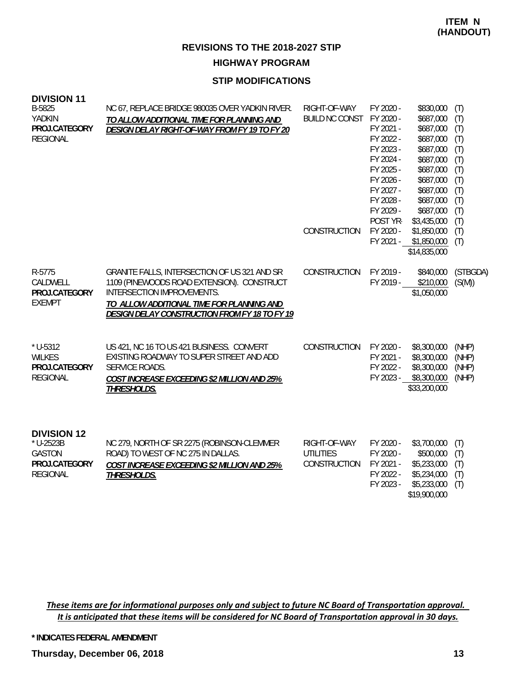#### **STIP MODIFICATIONS**

| <b>DIVISION 11</b><br>B-5825<br>YADKIN<br>PROJ.CATEGORY<br><b>REGIONAL</b>           | NC 67, REPLACE BRIDGE 980035 OVER YADKIN RIVER.<br>TO ALLOW ADDITIONAL TIME FOR PLANNING AND<br>DESIGN DELAY RIGHT-OF-WAY FROM FY 19 TO FY 20                                                                          | RIGHT-OF-WAY<br>BUILD NC CONST FY 2020 -<br>CONSTRUCTION | FY 2020 -<br>FY 2021 -<br>FY 2022 -<br>FY 2023 -<br>FY 2024 -<br>FY 2025 -<br>FY 2026 -<br>FY 2027 -<br>FY 2028 -<br>FY 2029 -<br>POST YR-<br>FY 2020 -<br>FY 2021 - | \$830,000<br>\$687,000<br>\$687,000<br>\$687,000<br>\$687,000<br>\$687,000<br>\$687,000<br>\$687,000<br>\$687,000<br>\$687,000<br>\$687,000<br>\$3,435,000<br>\$1,850,000<br>\$1,850,000<br>\$14,835,000 | (T)<br>(T)<br>(T)<br>(T)<br>(T)<br>(T)<br>(T)<br>(T)<br>(T)<br>(T)<br>(T)<br>(T)<br>(T)<br>(T) |
|--------------------------------------------------------------------------------------|------------------------------------------------------------------------------------------------------------------------------------------------------------------------------------------------------------------------|----------------------------------------------------------|----------------------------------------------------------------------------------------------------------------------------------------------------------------------|----------------------------------------------------------------------------------------------------------------------------------------------------------------------------------------------------------|------------------------------------------------------------------------------------------------|
| R-5775<br>CALDWELL<br>PROJ.CATEGORY<br><b>EXEMPT</b>                                 | GRANITE FALLS, INTERSECTION OF US 321 AND SR<br>1109 (PINEWOODS ROAD EXTENSION). CONSTRUCT<br>INTERSECTION IMPROVEMENTS.<br>TO ALLOW ADDITIONAL TIME FOR PLANNING AND<br>DESIGN DELAY CONSTRUCTION FROM FY 18 TO FY 19 | CONSTRUCTION                                             | FY 2019 -<br>FY 2019 -                                                                                                                                               | \$840,000<br>\$210,000<br>\$1,050,000                                                                                                                                                                    | (STBGDA)<br>(S(M))                                                                             |
| $*$ U-5312<br><b>WILKES</b><br>PROJ.CATEGORY<br><b>REGIONAL</b>                      | US 421, NC 16 TO US 421 BUSINESS. CONVERT<br>EXISTING ROADWAY TO SUPER STREET AND ADD<br><b>SERVICE ROADS.</b><br><b>COST INCREASE EXCEEDING \$2 MILLION AND 25%</b><br>THRESHOLDS.                                    | CONSTRUCTION                                             | FY 2020 -<br>FY 2021 -<br>FY 2022 -                                                                                                                                  | \$8,300,000<br>\$8,300,000<br>\$8,300,000<br>FY 2023 - \$8,300,000<br>\$33,200,000                                                                                                                       | (NHP)<br>(NHP)<br>(NHP)<br>(NHP)                                                               |
| <b>DIVISION 12</b><br>* U-2523B<br><b>GASTON</b><br>PROJ.CATEGORY<br><b>REGIONAL</b> | NC 279, NORTH OF SR 2275 (ROBINSON-CLEMMER<br>ROAD) TO WEST OF NC 275 IN DALLAS.<br>COST INCREASE EXCEEDING \$2 MILLION AND 25%<br>THRESHOLDS.                                                                         | RIGHT-OF-WAY<br><b>UTILITIES</b><br>CONSTRUCTION         | FY 2020 -<br>FY 2020 -<br>FY 2021 -<br>FY 2022 -                                                                                                                     | \$3,700,000<br>\$500,000<br>\$5,233,000<br>\$5,234,000                                                                                                                                                   | (T)<br>(T)<br>(T)<br>(T)                                                                       |

FY 2023 - \$5,233,000 (T) \$19,900,000

These items are for informational purposes only and subject to future NC Board of Transportation approval. It is anticipated that these items will be considered for NC Board of Transportation approval in 30 days.

**\* INDICATES FEDERAL AMENDMENT**

**DIVISION 11**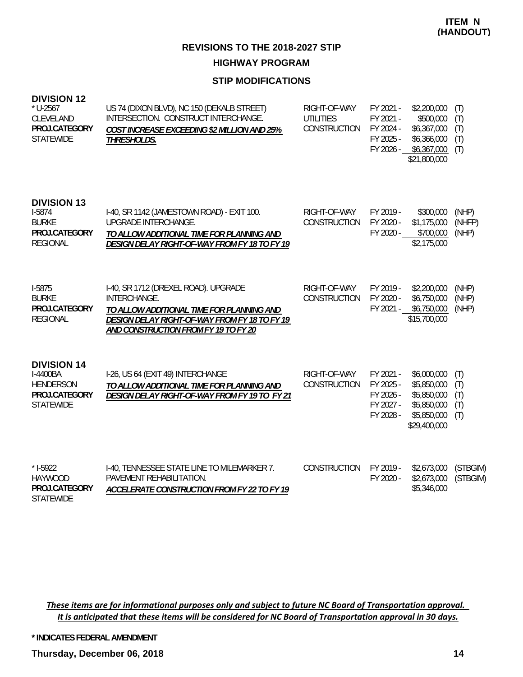#### **STIP MODIFICATIONS**

| <b>DIVISION 12</b> |  |
|--------------------|--|
|--------------------|--|

| $*$ U-2567<br>CLEVELAND<br>PROJ.CATEGORY<br><b>STATEWIDE</b>                            | US 74 (DIXON BLVD), NC 150 (DEKALB STREET)<br>INTERSECTION. CONSTRUCT INTERCHANGE.<br>COST INCREASE EXCEEDING \$2 MILLION AND 25%<br>THRESHOLDS.                                           | RIGHT-OF-WAY<br><b>UTILITIES</b><br><b>CONSTRUCTION</b> | FY 2021 -<br>FY 2021 -<br>FY 2024 -<br>FY 2025 -<br>FY 2026 - | \$2,200,000<br>\$500,000<br>\$6,367,000<br>\$6,366,000<br>\$6,367,000<br>\$21,800,000   | (T)<br>(T)<br>(T)<br>(T)<br>(T) |
|-----------------------------------------------------------------------------------------|--------------------------------------------------------------------------------------------------------------------------------------------------------------------------------------------|---------------------------------------------------------|---------------------------------------------------------------|-----------------------------------------------------------------------------------------|---------------------------------|
| <b>DIVISION 13</b><br>I-5874<br><b>BURKE</b><br>PROJ.CATEGORY<br><b>REGIONAL</b>        | I-40, SR 1142 (JAMESTOWN ROAD) - EXIT 100.<br>UPGRADE INTERCHANGE.<br>TO ALLOW ADDITIONAL TIME FOR PLANNING AND<br>DESIGN DELAY RIGHT-OF-WAY FROM FY 18 TO FY 19                           | RIGHT-OF-WAY<br><b>CONSTRUCTION</b>                     | FY 2019 -<br>FY 2020 -<br>FY 2020 -                           | \$300,000<br>\$1,175,000<br>\$700,000<br>\$2,175,000                                    | (NHP)<br>(NHFP)<br>(NHP)        |
| I-5875<br><b>BURKE</b><br>PROJ.CATEGORY<br><b>REGIONAL</b>                              | I-40, SR 1712 (DREXEL ROAD). UPGRADE<br>INTERCHANGE.<br>TO ALLOW ADDITIONAL TIME FOR PLANNING AND<br>DESIGN DELAY RIGHT-OF-WAY FROM FY 18 TO FY 19<br>AND CONSTRUCTION FROM FY 19 TO FY 20 | RIGHT-OF-WAY<br>CONSTRUCTION                            | FY 2019 -<br>FY 2020 -                                        | \$2,200,000<br>\$6,750,000<br>FY 2021 - \$6,750,000<br>\$15,700,000                     | (NHP)<br>(NHP)<br>(NHP)         |
| <b>DIVISION 14</b><br>I-4400BA<br><b>HENDERSON</b><br>PROJ.CATEGORY<br><b>STATEWIDE</b> | I-26, US 64 (EXIT 49) INTERCHANGE<br>TO ALLOW ADDITIONAL TIME FOR PLANNING AND<br>DESIGN DELAY RIGHT-OF-WAY FROM FY 19 TO FY 21                                                            | RIGHT-OF-WAY<br>CONSTRUCTION                            | FY 2021 -<br>FY 2025 -<br>FY 2026 -<br>FY 2027 -<br>FY 2028 - | \$6,000,000<br>\$5,850,000<br>\$5,850,000<br>\$5,850,000<br>\$5,850,000<br>\$29,400,000 | (T)<br>(T)<br>(T)<br>(T)<br>(T) |
| $* I-5922$<br><b>HAYWOOD</b><br>PROJ.CATEGORY<br><b>STATEWIDE</b>                       | I-40, TENNESSEE STATE LINE TO MILEMARKER 7.<br>PAVEMENT REHABILITATION.<br>ACCELERATE CONSTRUCTION FROM FY 22 TO FY 19                                                                     | CONSTRUCTION                                            | FY 2019 -<br>FY 2020 -                                        | \$2,673,000<br>\$2,673,000<br>\$5,346,000                                               | (STBGIM)<br>(STBGIM)            |

These items are for informational purposes only and subject to future NC Board of Transportation approval. It is anticipated that these items will be considered for NC Board of Transportation approval in 30 days.

**\* INDICATES FEDERAL AMENDMENT**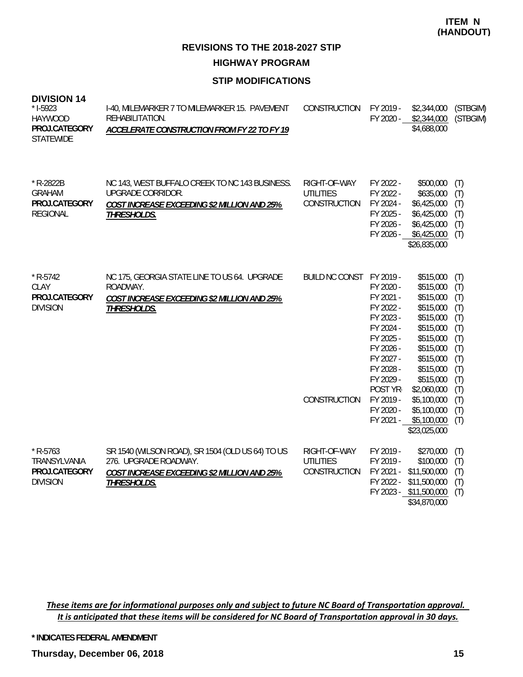# **STIP MODIFICATIONS**

| <b>DIVISION 14</b><br>$*$ 1-5923<br><b>HAYWOOD</b><br>PROJ.CATEGORY<br><b>STATEWIDE</b> | I-40, MILEMARKER 7 TO MILEMARKER 15. PAVEMENT<br>REHABILITATION.<br>ACCELERATE CONSTRUCTION FROM FY 22 TO FY 19                         | CONSTRUCTION                                     | FY 2019 -                                                                                                                                                            | \$2,344,000<br>FY 2020 - \$2,344,000<br>\$4,688,000                                                                                                                                                                               | (STBGIM)<br>(STBGIM)                                                                                  |
|-----------------------------------------------------------------------------------------|-----------------------------------------------------------------------------------------------------------------------------------------|--------------------------------------------------|----------------------------------------------------------------------------------------------------------------------------------------------------------------------|-----------------------------------------------------------------------------------------------------------------------------------------------------------------------------------------------------------------------------------|-------------------------------------------------------------------------------------------------------|
| * R-2822B<br><b>GRAHAM</b><br>PROJ.CATEGORY<br><b>REGIONAL</b>                          | NC 143, WEST BUFFALO CREEK TO NC 143 BUSINESS.<br>UPGRADE CORRIDOR.<br>COST INCREASE EXCEEDING \$2 MILLION AND 25%<br>THRESHOLDS.       | RIGHT-OF-WAY<br><b>UTILITIES</b><br>CONSTRUCTION | FY 2022 -<br>FY 2022 -<br>FY 2024 -<br>FY 2025 -<br>FY 2026 -                                                                                                        | \$500,000<br>\$635,000<br>\$6,425,000<br>\$6,425,000<br>\$6,425,000<br>FY 2026 - \$6,425,000<br>\$26,835,000                                                                                                                      | (T)<br>(T)<br>(T)<br>(T)<br>(T)<br>(T)                                                                |
| $*$ R-5742<br>CLAY<br>PROJ.CATEGORY<br><b>DIVISION</b>                                  | NC 175, GEORGIA STATE LINE TO US 64. UPGRADE<br>ROADWAY.<br>COST INCREASE EXCEEDING \$2 MILLION AND 25%<br>THRESHOLDS.                  | BUILD NC CONST FY 2019 -<br>CONSTRUCTION         | FY 2020 -<br>FY 2021 -<br>FY 2022 -<br>FY 2023 -<br>FY 2024 -<br>FY 2025 -<br>FY 2026 -<br>FY 2027 -<br>FY 2028 -<br>FY 2029 -<br>POST YR-<br>FY 2019 -<br>FY 2020 - | \$515,000<br>\$515,000<br>\$515,000<br>\$515,000<br>\$515,000<br>\$515,000<br>\$515,000<br>\$515,000<br>\$515,000<br>\$515,000<br>\$515,000<br>\$2,060,000<br>\$5,100,000<br>\$5,100,000<br>FY 2021 - \$5,100,000<br>\$23,025,000 | (T)<br>(T)<br>(T)<br>(T)<br>(T)<br>(T)<br>(T)<br>(T)<br>(T)<br>(T)<br>(T)<br>(T)<br>(T)<br>(T)<br>(T) |
| $*$ R-5763<br>TRANSYLVANIA<br>PROJ.CATEGORY<br><b>DIVISION</b>                          | SR 1540 (WILSON ROAD), SR 1504 (OLD US 64) TO US<br>276. UPGRADE ROADWAY.<br>COST INCREASE EXCEEDING \$2 MILLION AND 25%<br>THRESHOLDS. | RIGHT-OF-WAY<br><b>UTILITIES</b><br>CONSTRUCTION | FY 2019 -<br>FY 2019 -<br>FY 2021 -<br>FY 2022 -                                                                                                                     | \$270,000<br>\$100,000<br>\$11,500,000<br>\$11,500,000<br>FY 2023 - \$11,500,000<br>\$34,870,000                                                                                                                                  | (T)<br>(T)<br>(T)<br>(T)<br>(T)                                                                       |

These items are for informational purposes only and subject to future NC Board of Transportation approval. It is anticipated that these items will be considered for NC Board of Transportation approval in 30 days.

**\* INDICATES FEDERAL AMENDMENT**